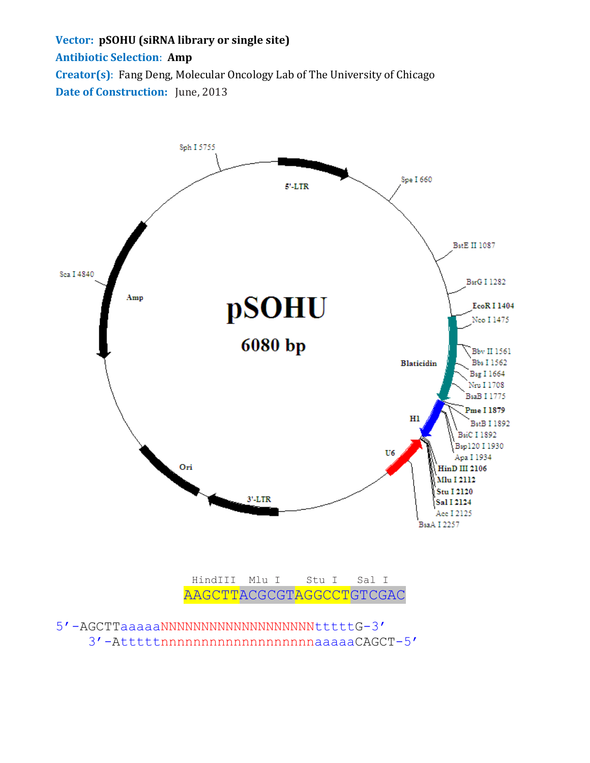## **Vector: pSOHU (siRNA library or single site) Antibiotic Selection**: **Amp Creator(s)**: Fang Deng, Molecular Oncology Lab of The University of Chicago **Date of Construction:** June, 2013



 HindIII Mlu I Stu I Sal I AAGCTTACGCGTAGGCCTGTCGAC

```
5'-AGCTTaaaaaNNNNNNNNNNNNNNNNNNNtttttG-3'
3'-AtttttnnnnnnnnnnnnnnnnnnnaaaaaCAGCT-5'
```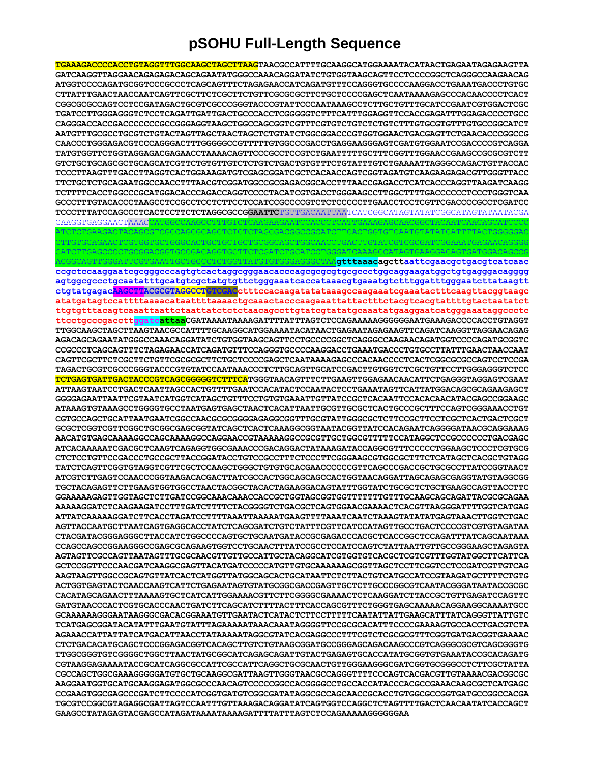## **pSOHU Full-Length Sequence**

| <u>TGAAAGACCCCACCTGTAGGTTTGGCAAGCTAGCTTAAGTAACGCCATTTTGCAAGGCATGGAAAATACATAACTGAGAATAGAGAAGTTA</u>                                                           |
|--------------------------------------------------------------------------------------------------------------------------------------------------------------|
| GATCAAGGTTAGGAACAGAGAGACAGCAGAATATGGGCCAAACAGGATATCTGTGGTAAGCAGTTCCTCCCCGGCTCAGGGCCAAGAACAG                                                                  |
| ATGGTCCCCAGATGCGGTCCCGCCCTCAGCAGTTTCTAGAGAACCATCAGATGTTTCCAGGGTGCCCCAAGGACCTGAAATGACCCTGTGC                                                                  |
| ${\tt CTTATTTGAACTAACCAATCAGTTCGCTTCTCGGCTTCTGCTTCGCGCGTTCTGCCCCGAGCTCAATAAAAGAGCCCCACAACCCCTCACTTCTGCTGCTTCTGCTGCTTCTGCTTCCCAGCTCAATAAAAGAGCCCACACCCCTCACT$ |
| CGGCGCGCCAGTCCTCCGATAGACTGCGTCGCCCGGGTACCCGTATTCCCAATAAAGCCTCTTGCTGTTTGCATCCGAATCGTGGACTCGC                                                                  |
| TGATCCTTGGGAGGGTCTCCTCAGATTGATTGACTGCCCACCTCGGGGGTCTTTCATTTGGAGGTTCCACCGAGATTTGGAGACCCCTGCC                                                                  |
|                                                                                                                                                              |
|                                                                                                                                                              |
| AATGTTTGCGCCTGCGTCTGTACTAGTTAGCTAACTAGCTCTGTATCTGGCGGACCCGTGGTGGAACTGACGAGTTCTGAACACCCGGCCG                                                                  |
| CAACCCTGGGAGACGTCCCAGGGACTTTGGGGGCCGTTTTTGTGGCCCGACCTGAGGAAGGGAGTCGATGTGGAATCCGACCCCGTCAGGA                                                                  |
| TATGTGGTTCTGGTAGGAGACGAGAACCTAAAACAGTTCCCGCCTCCGTCTGAATTTTTGCTTTCGGTTTGGAACCGAAGCCGCGCGTCTT                                                                  |
|                                                                                                                                                              |
| TCCCTTAAGTTTGACCTTAGGTCACTGGAAAGATGTCGAGCGGATCGCTCACAACCAGTCGGTAGATGTCAAGAAGAGCGTTGGGTTACC                                                                   |
| TTCTGCTCTGCAGAATGGCCAACCTTTAACGTCGGATGGCCGCGAGACGGCACCTTTAACCGAGACCTCATCACCCAGGTTAAGATCAAGG                                                                  |
|                                                                                                                                                              |
| GCCCTTTGTACACCCTAAGCCTCCGCCTCCTCTTCCTCCATCCGCCCCGTCTCTCCCCCTTGAACCTCCTCGTTCGACCCCGCCTCGATCC                                                                  |
| TCCCTTTATCCAGCCCTCACTCCTTCTCTAGGCGCCGGAATTCTGTTGACAATTAATCATCGGCATAGTATATCGGCATAGTATATACGA                                                                   |
|                                                                                                                                                              |
| CAAGGTGAGGAACTAAACCATGGCCAAGCCTTTGTCTCAAGAAGAATCCACCCTCATTGAAAGAGCAACGGCTACAATCAACAGCATCCCC                                                                  |
|                                                                                                                                                              |
|                                                                                                                                                              |
|                                                                                                                                                              |
| CAGTTGGGATTCGTGAATTGCTGCCCTCTGGTTATGTGTGGGAGGGCTAAGtttaaacagcttaattcgaacgctgacgtcatcaac                                                                      |
| ccgctccaaggaatcgcgggcccagtgtcactaggcgggaacacccagcgcgcgtgcgccctggcaggaagatggctgtgagggacagggg                                                                  |
| agtggcgccctgcaatatttgcatgtcgctatgtgttctgggaaatcaccataaacgtgaaatgtctttggatttgggaatcttataagtt                                                                  |
|                                                                                                                                                              |
| ctgtatgagacAAGCTTACGCGTAGGCCTGTCGACctttccacaagatatataaagccaagaaatcgaaatactttcaagttacqgtaagc                                                                  |
| atatgatagteeattttaaaaeataattttaaaaetgeaaaetaeeeaagaaattattaetttetaegteaegtattttgtaetaatatet                                                                  |
| ttgtgtttacagtcaaattaattctaattatctctctaacagccttgtatcgtatatgcaaatatgaaggaatcatgggaaataggccctc                                                                  |
| ttcctgcccgaccttggatcattaaCGATAAAATAAAAGATTTTATTTAGTCTCCAGAAAAAGGGGGGAATGAAAGACCCCACCTGTAGGT                                                                  |
| TTGGCAAGCTAGCTTAAGTAACGCCATTTTGCAAGGCATGGAAAATACATAACTGAGAATAGAGAAGTTCAGATCAAGGTTAGGAACAGAG                                                                  |
| AGACAGCAGAATATGGGCCAAACAGGATATCTGTGGTAAGCAGTTCCTGCCCCGGCTCAGGGCCAAGAACAGATGGTCCCCAGATGCGGTC                                                                  |
| CCGCCCTCAGCAGTTTCTAGAGAACCATCAGATGTTTCCAGGGTGCCCCAAGGACCTGAAATGACCCTGTGCCTTATTTGAACTAACCAAT                                                                  |
|                                                                                                                                                              |
| TAGACTGCGTCGCCCGGGTACCCGTGTATCCAATAAACCCTCTTGCAGTTGCATCCGACTTGTGGTCTCGCTGTTCCTTGGGAGGGTCTCC                                                                  |
|                                                                                                                                                              |
| TCTGAGTGATTGACTACCCGTCAGCGGGGGTCTTTCATGGGTAACAGTTTCTTGAAGTTGGAGAACAACATTCTGAGGGTAGGAGTCGAAT                                                                  |
| ATTAAGTAATCCTGACTCAATTAGCCACTGTTTTGAATCCACATACTCCAATACTCCTGAAATAGTTCATTATGGACAGCGCAGAAGAGCT                                                                  |
| GGGGAGAATTAATTCGTAATCATGGTCATAGCTGTTTCCTGTGTGAAATTGTTATCCGCTCACAATTCCACACAACATACGAGCCGGAAGC                                                                  |
| ATAAAGTGTAAAGCCTGGGGTGCCTAATGAGTGAGCTAACTCACATTAATTGCGTTGCGCTCACTGCCCGTTTCCAGTCGGGAAACCTGT                                                                   |
| CGTGCCAGCTGCATTAATGAATCGGCCAACGCGCGGGGAGAGGCGGTTTGCGTATTGGGCGCTCTTCCGCTTCCTCGCTCACTGACTCGCT                                                                  |
|                                                                                                                                                              |
| AACATGTGAGCAAAAGGCCAGCAAAAGGCCAGGAACCGTAAAAAGGCCGCGTTGCTGGCGTTTTTCCATAGGCTCCGCCCCCTGACGAGC                                                                   |
| ATCACAAAAATCGACGCTCAAGTCAGAGGTGGCGAAACCCGACAGGACTATAAAGATACCAGGCGTTTCCCCCTGGAAGCTCCCTCGTGCG                                                                  |
| CTCTCCTGTTCCGACCCTGCCGCTTACCGGATACCTGTCCGCCTTTCTCCCTTCGGGAAGCGTGGCGCTTTCTCATAGCTCACGCTGTAGG                                                                  |
| TATCTCAGTTCGGTGTAGGTCGTTCGCTCCAAGCTGGGCTGTGTGCACGAACCCCCCGTTCAGCCCGACCGCTGCGCCTTATCCGGTAACT                                                                  |
|                                                                                                                                                              |
| ATCGTCTTGAGTCCAACCCGGTAAGACACGACTTATCGCCACTGGCAGCAGCCACTGGTAACAGGATTAGCAGAGCGAGGTATGTAGGCGG                                                                  |
|                                                                                                                                                              |
| TGCTACAGAGTTCTTGAAGTGGTGGCCTAACTACGGCTACACTAGAAGGACAGTATTTGGTATCTGCGCTCTGCTGAAGCCAGTTACCTTC                                                                  |
|                                                                                                                                                              |
| AAAAAGGATCTCAAGAAGATCCTTTGATCTTTTCTACGGGGTCTGACGCTCAGTGGAACGAAAACTCACGTTAAGGGATTTTGGTCATGAG                                                                  |
|                                                                                                                                                              |
| AGTTACCAATGCTTAATCAGTGAGGCACCTATCTCAGCGATCTGTCTATTTCGTTCATCCATAGTTGCCTGACTCCCCGTCGTGTAGATAA                                                                  |
|                                                                                                                                                              |
| CTACGATACGGGAGGCCTTACCATCTGGCCCCAGTGCTGCAATGATACCGCGAGACCCACGCTCACCGGCTCCAGATTTATCAGCAATAAA                                                                  |
|                                                                                                                                                              |
|                                                                                                                                                              |
| GCTCCGGTTCCCAACGATCAAGGCGAGTTACATGATCCCCCATGTTGTGCAAAAAAGCGGTTAGCTCCTTCGGTCCTCCGATCGTTGTCAG                                                                  |
| AAGTAAGTTGGCCCGCAGTGTTATCACTCATGGTTATGGCAGCACTGCATAATTCTCTTACTGTCATGCCATCCGTAAGATGCTTTTCTGTG                                                                 |
| ACTGGTGAGTACTCAACCAAGTCATTCTGAGAATAGTGTATGCGGCGACCGAGTTGCTCTTGCCCGGCGTCAATACGGGATAATACCGCGC                                                                  |
| CACATAGCAGAACTTTAAAAGTGCTCATCATTGGAAAACGTTCTTCGGGGCCGAAAACTCTCAAGGATCTTACCGCTGTTGAGATCCAGTTC                                                                 |
| GATGTAACCCACTCGTGCACCCAACTGATCTTCAGCATCTTTTACTTTCACCAGCGTTTCTGGGTGAGCAAAAACAGGAAGGCAAAATGCC                                                                  |
| GCAAAAAAGGGAATAAGGGCGACACGGAAATGTTGAATACTCATACTCTTCCTTTTTCAATATTATTGAAGCATTTATCAGGGTTATTGTC                                                                  |
|                                                                                                                                                              |
| TCATGAGCGGATACATATTTGAATGTATTTAGAAAAATAAACAAATAGGGGTTCCGCGCACATTTCCCCGAAAAGTGCCACCTGACGTCTA                                                                  |
| AGAAACCATTATTATCATGACATTAACCTATAAAAATAGGCGTATCACGAGGCCCTTTCGTCTCGCGCGTTTCGGTGATGACGGTGAAAAC                                                                  |
| CTCTGACACATGCAGCTCCCGGAGACGGTCACAGCTTGTCTGTAAGCGGATGCCGGGAGCAGACAAGCCCGTCAGGGCGCGTCAGCGGGTG                                                                  |
| TTGGCGGGTGTCGGGGCTGGCTTAACTATGCGGCATCAGAGCAGATTGTACTGAGAGTGCACCATATGCGGTGTGAAATACCGCACAGATG                                                                  |
| CGTAAGGAGAAAATACCGCATCAGGCGCCATTCGCCATTCAGGCTGCGCAACTGTTGGGAAGGGCGATCGGTGCGGCCTCTTCGCTATTA                                                                   |
| CGCCAGCTGGCGAAAGGGGGATGTGCTGCAAGGCGATTAAGTTGGGTAACGCCAGGGTTTTCCCAGTCACGACGTTGTAAAACGACGGCGC                                                                  |
| AAGGAATGGTGCATGCAAGGAGATGGCGCCCAACAGTCCCCCGGCCACGGGCCTGCCACCATACCCACGCCGAAACAAGCGCTCATGAGC                                                                   |
| CCGAAGTGGCGAGCCCGATCTTCCCCATCGGTGATGTCGGCGATATAGGCGCCAGCAACCGCACCTGTGGCGCCGGTGATGCCGGCCACGA                                                                  |
| TGCGTCCGGCGTAGAGGCGATTAGTCCAATTTGTTAAAGACAGGATATCAGTGGTCCAGGCTCTAGTTTTGACTCAACAATATCACCAGCT                                                                  |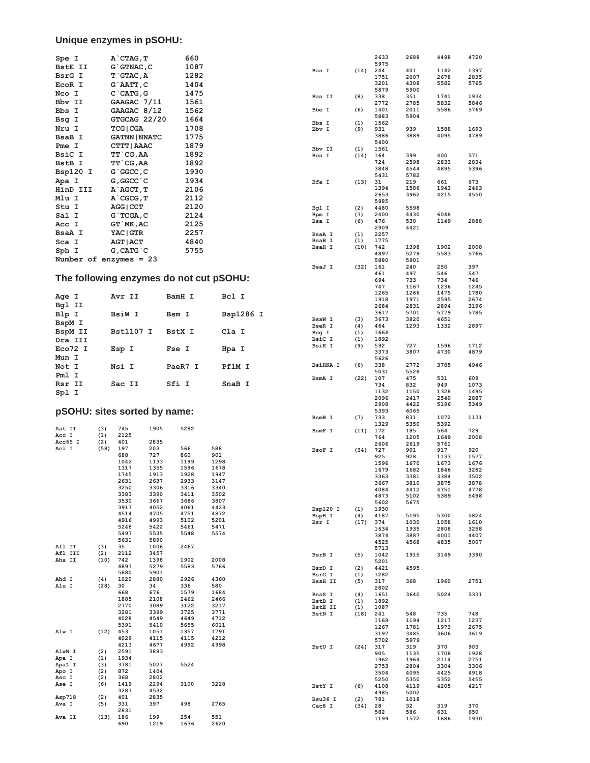## **Unique enzymes in pSOHU:**

| Spe I                        |            | A`CTAG, T            |              | 660          |                                         |                          |             | 2633         | 2688         | 4498         | 4720         |
|------------------------------|------------|----------------------|--------------|--------------|-----------------------------------------|--------------------------|-------------|--------------|--------------|--------------|--------------|
| BstE II                      |            | $G$ $G$ TNAC, $C$    |              | 1087         |                                         |                          |             | 5975         |              |              |              |
| BsrG I                       |            | $T$ $GTAC$ , $A$     |              | 1282         |                                         | Ban I                    | (14)        | 244<br>1751  | 401<br>2007  | 1142<br>2678 | 1397<br>2835 |
| EcoR I                       |            | G`AATT, C            |              | 1404         |                                         |                          |             | 3201         | 4308         | 5582         | 5765         |
|                              |            |                      |              |              |                                         |                          |             | 5879         | 5900         |              |              |
| Nco I                        |            | $C$ $CATG$ , $G$     |              | 1475         |                                         | Ban II                   | (8)         | 338          | 351          | 1741         | 1934         |
| Bbv II                       |            | GAAGAC 7/11          |              | 1561         |                                         |                          |             | 2772         | 2785         | 5832         | 5846         |
| Bbs I                        |            | GAAGAC 8/12          |              | 1562         |                                         | Bbe I                    | (6)         | 1401         | 2011         | 5586         | 5769         |
| Bsg I                        |            | GTGCAG 22/20         |              | 1664         |                                         |                          |             | 5883         | 5904         |              |              |
| Nru I                        |            | <b>TCG   CGA</b>     |              | 1708         |                                         | Bbs I<br>Bbv I           | (1)<br>(9)  | 1562<br>931  | 939          | 1588         | 1693         |
| BsaB I                       |            | <b>GATNN   NNATC</b> |              | 1775         |                                         |                          |             | 3886         | 3889         | 4095         | 4789         |
|                              |            |                      |              |              |                                         |                          |             | 5400         |              |              |              |
| Pme I                        |            | CTTT   AAAC          |              | 1879         |                                         | Bbv II                   | (1)         | 1561         |              |              |              |
| BsiC I                       |            | <b>TT`CG, AA</b>     |              | 1892         |                                         | Bcn I                    | (14)        | 164          | 399          | 400          | 571          |
| BstB I                       |            | <b>TT`CG, AA</b>     |              | 1892         |                                         |                          |             | 724          | 2598         | 2833         | 2834         |
| Bsp120 I                     |            | $G$ $GGCC$ , $C$     |              | 1930         |                                         |                          |             | 3848         | 4544         | 4895         | 5396         |
| Apa I                        |            | G, GGCC `C           |              | 1934         |                                         |                          |             | 5431         | 5782         |              | 673          |
| HinD III                     |            |                      |              |              |                                         | Bfa I                    | (13)        | 31<br>1394   | 219<br>1586  | 661<br>1943  | 2463         |
|                              |            | A`AGCT,T             |              | 2106         |                                         |                          |             | 2653         | 3962         | 4215         | 4550         |
| Mlu I                        |            | $A$ `CGCG, $T$       |              | 2112         |                                         |                          |             | 5985         |              |              |              |
| Stu I                        |            | AGG   CCT            |              | 2120         |                                         | Bgl I                    | (2)         | 4480         | 5598         |              |              |
| Sal I                        |            | $G$ `TCGA, C         |              | 2124         |                                         | Bpm I                    | (3)         | 2400         | 4430         | 6048         |              |
| Acc I                        |            | GT `MK, AC           |              | 2125         |                                         | Bsa I                    | (6)         | 476          | 530          | 1149         | 2888         |
| BsaA I                       |            | YAC   GTR            |              | 2257         |                                         | BsaA I                   |             | 2909<br>2257 | 4421         |              |              |
|                              |            | <b>AGT   ACT</b>     |              |              |                                         | BsaB I                   | (1)<br>(1)  | 1775         |              |              |              |
| Sca I                        |            |                      |              | 4840         |                                         | BsaH I                   | (10)        | 742          | 1398         | 1902         | 2008         |
| Sph I                        |            | $G$ , $CATG$ $C$     |              | 5755         |                                         |                          |             | 4897         | 5279         | 5583         | 5766         |
| Number of enzymes $= 23$     |            |                      |              |              |                                         |                          |             | 5880         | 5901         |              |              |
|                              |            |                      |              |              |                                         | BsaJ I                   | (32)        | 161          | 240          | 250          | 397          |
|                              |            |                      |              |              | The following enzymes do not cut pSOHU: |                          |             | 461          | 497          | 546          | 547          |
|                              |            |                      |              |              |                                         |                          |             | 694          | 733          | 734          | 746          |
|                              |            |                      |              |              |                                         |                          |             | 747<br>1265  | 1167<br>1266 | 1236<br>1475 | 1245<br>1780 |
| Age I                        |            | Avr II               |              | BamH I       | Bcl I                                   |                          |             | 1918         | 1971         | 2595         | 2674         |
| Bgl II                       |            |                      |              |              |                                         |                          |             | 2684         | 2831         | 2894         | 3196         |
| Blp I                        |            | BsiW I               |              | Bsm I        | Bsp1286 I                               |                          |             | 3617         | 5701         | 5779         | 5785         |
| BspM I                       |            |                      |              |              |                                         | <b>BsaW I</b>            | (3)         | 3673         | 3820         | 4651         |              |
|                              |            |                      |              |              |                                         | <b>BseR I</b>            | (4)         | 464          | 1293         | 1332         | 2897         |
| BspM II                      |            | Bst1107 I            |              | BstX I       | Cla I                                   | Bsg I                    | (1)         | 1664         |              |              |              |
| Dra III                      |            |                      |              |              |                                         | BsiC I<br><b>BsiE I</b>  | (1)         | 1892         | 727          | 1596         | 1712         |
| Eco72 I                      |            | Esp I                |              | Fse I        | Hpa I                                   |                          | (9)         | 592<br>3373  | 3807         | 4730         | 4879         |
| Mun I                        |            |                      |              |              |                                         |                          |             | 5626         |              |              |              |
| Not I                        |            | Nsi I                |              | PaeR7 I      | PflM I                                  | <b>BsiHKA I</b>          | (6)         | 338          | 2772         | 3785         | 4946         |
| Pml I                        |            |                      |              |              |                                         |                          |             | 5031         | 5528         |              |              |
|                              |            |                      |              |              |                                         | BsmA I                   | (22)        | 107          | 475          | 531          | 609          |
| Rsr II                       |            | Sac II               |              | Sfi I        | SnaB I                                  |                          |             | 734          | 832          | 949          | 1073         |
|                              |            |                      |              |              |                                         |                          |             |              |              |              |              |
| Spl I                        |            |                      |              |              |                                         |                          |             | 1132         | 1150         | 1328         | 1495         |
|                              |            |                      |              |              |                                         |                          |             | 2096         | 2417         | 2540         | 2887         |
|                              |            |                      |              |              |                                         |                          |             | 2908         | 4422         | 5196         | 5349         |
| pSOHU: sites sorted by name: |            |                      |              |              |                                         |                          |             | 5393         | 6065         |              |              |
|                              |            |                      |              |              |                                         | BsmB I                   | (7)         | 733<br>1329  | 831<br>5350  | 1072<br>5392 | 1131         |
| Aat II                       | (3)        | 745                  | 1905         | 5282         |                                         | BsmF I                   | (11)        | 172          | 185          | 564          | 729          |
| Acc I                        | (1)        | 2125                 |              |              |                                         |                          |             | 764          | 1205         | 1649         | 2008         |
| Acc65 I                      | (2)        | 401                  | 2835         |              |                                         |                          |             | 2606         | 2619         | 5761         |              |
| Aci I                        | (58)       | 197                  | 203          | 566          | 588                                     | BsoF I                   | (34)        | 727          | 901          | 917          | 920          |
|                              |            | 688<br>1042          | 727<br>1133  | 860<br>1199  | 901<br>1298                             |                          |             | 925          | 928          | 1133         | 1577         |
|                              |            | 1317                 | 1355         | 1596         | 1678                                    |                          |             | 1596         | 1670         | 1673         | 1676         |
|                              |            | 1745                 | 1913         | 1928         | 1947                                    |                          |             | 1679<br>3363 | 1682<br>3381 | 1846<br>3384 | 3282<br>3502 |
|                              |            | 2631                 | 2637         | 2933         | 3147                                    |                          |             | 3667         | 3810         | 3875         | 3878         |
|                              |            | 3250                 | 3306         | 3316         | 3340                                    |                          |             | 4084         | 4412         | 4751         | 4778         |
|                              |            | 3383                 | 3390         | 3411         | 3502                                    |                          |             | 4873         | 5102         | 5389         | 5498         |
|                              |            | 3530                 | 3667         | 3686         | 3807                                    |                          |             | 5602         | 5675         |              |              |
|                              |            | 3917<br>4514         | 4052<br>4705 | 4061<br>4751 | 4423<br>4872                            | Bsp120 I                 | (1)         | 1930         |              |              |              |
|                              |            | 4916                 | 4993         | 5102         | 5201                                    | BspH I<br>Bsr I          | (4)<br>(17) | 4187<br>374  | 5195<br>1030 | 5300<br>1058 | 5824<br>1610 |
|                              |            | 5248                 | 5422         | 5461         | 5471                                    |                          |             | 1634         | 1935         | 2808         | 3258         |
|                              |            | 5497                 | 5535         | 5548         | 5574                                    |                          |             | 3874         | 3887         | 4001         | 4407         |
|                              |            | 5631                 | 5890         |              |                                         |                          |             | 4525         | 4568         | 4835         | 5007         |
| Afl II                       | (3)        | 35                   | 1006         | 2467         |                                         |                          |             | 5713         |              |              |              |
| Afl III                      | (2)        | 2112                 | 3457         |              |                                         | BsrB I                   | (5)         | 1042         | 1915         | 3149         | 3390         |
| Aha II                       | (10)       | 742<br>4897          | 1398<br>5279 | 1902<br>5583 | 2008<br>5766                            |                          |             | 5201         |              |              |              |
|                              |            | 5880                 | 5901         |              |                                         | BsrD I                   | (2)         | 4421         | 4595         |              |              |
| Ahd I                        | (4)        | 1020                 | 2880         | 2926         | 4360                                    | BsrG I<br><b>BssH II</b> | (1)<br>(5)  | 1282<br>317  | 368          | 1960         | 2751         |
| Alu I                        | (28)       | 30                   | 34           | 336          | 580                                     |                          |             | 2802         |              |              |              |
|                              |            | 668                  | 676          | 1579         | 1684                                    | BssS I                   | (4)         | 1651         | 3640         | 5024         | 5331         |
|                              |            | 1885                 | 2108         | 2462         | 2466                                    | BstB I                   | (1)         | 1892         |              |              |              |
|                              |            | 2770<br>3281         | 3089<br>3399 | 3122<br>3725 | 3217<br>3771                            | BstE II                  | (1)         | 1087         |              |              |              |
|                              |            | 4028                 | 4549         | 4649         | 4712                                    | BstN I                   | (18)        | 241<br>1169  | 548<br>1194  | 735<br>1217  | 748<br>1237  |
|                              |            | 5391                 | 5410         | 5655         | 6011                                    |                          |             | 1267         | 1781         | 1973         | 2675         |
| Alw I                        | (12)       | 453                  | 1051         | 1357         | 1791                                    |                          |             | 3197         | 3485         | 3606         | 3619         |
|                              |            | 4029                 | 4115         | 4115         | 4212                                    |                          |             | 5702         | 5979         |              |              |
|                              |            | 4213                 | 4677         | 4992         | 4998                                    | BstU I                   | (24)        | 317          | 319          | 370          | 903          |
| AlwN I                       | (2)        | 2591                 | 3883         |              |                                         |                          |             | 905          | 1135         | 1708         | 1928         |
| Apa I                        | (1)        | 1934<br>3781         | 5027         | 5524         |                                         |                          |             | 1962         | 1964         | 2114         | 2751         |
| ApaL I<br>Apo I              | (3)<br>(2) | 872                  | 1404         |              |                                         |                          |             | 2753         | 2804         | 3304         | 3306         |
| Asc I                        | (2)        | 368                  | 2802         |              |                                         |                          |             | 3504         | 4095         | 4425         | 4918         |
| Ase I                        | (6)        | 1419                 | 2294         | 3100         | 3228                                    | BstY I                   | (6)         | 5250<br>4108 | 5350<br>4119 | 5352<br>4205 | 5455<br>4217 |
|                              |            | 3287                 | 4532         |              |                                         |                          |             | 4985         | 5002         |              |              |
| Asp718                       | (2)        | 401                  | 2835         |              |                                         | Bsu36 I                  | (2)         | 781          | 1018         |              |              |
| Ava I                        | (5)        | 331                  | 397          | 498          | 2765                                    | Cac8 I                   | (34)        | 28           | 32           | 319          | 370          |
| Ava II                       | (13)       | 2831<br>186          | 199          | 254          | 551                                     |                          |             | 582<br>1199  | 586<br>1572  | 631<br>1686  | 650<br>1930  |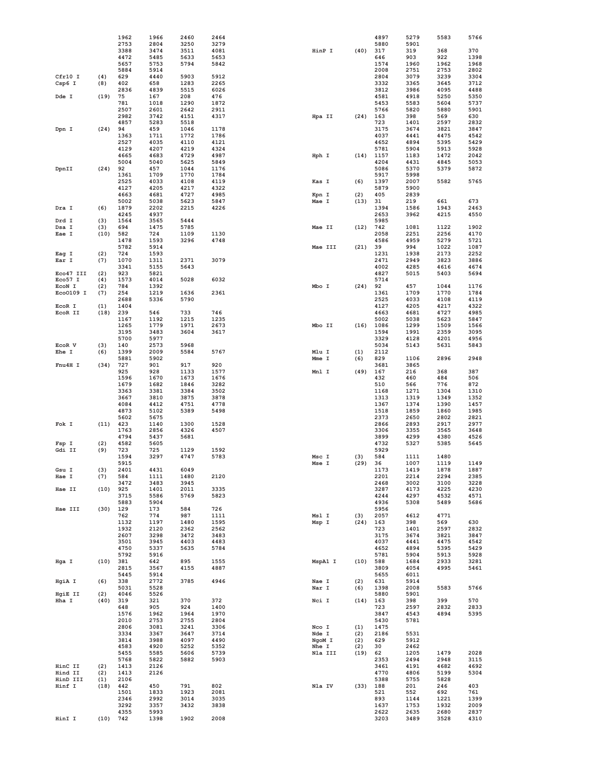|                     |            | 1962         | 1966         | 2460         | 2464         |                |            | 4897         | 5279         | 5583         | 5766         |
|---------------------|------------|--------------|--------------|--------------|--------------|----------------|------------|--------------|--------------|--------------|--------------|
|                     |            | 2753         | 2804         | 3250         | 3279         |                |            | 5880         | 5901         |              |              |
|                     |            | 3388         | 3474         | 3511         | 4081         | HinP I         | (40)       | 317          | 319          | 368          | 370          |
|                     |            | 4472<br>5657 | 5485<br>5753 | 5633<br>5794 | 5653<br>5842 |                |            | 646<br>1574  | 903<br>1960  | 922<br>1962  | 1398<br>1968 |
|                     |            | 5884         | 5914         |              |              |                |            | 2008         | 2751         | 2753         | 2802         |
| Cfr10 I             | (4)        | 629          | 4440         | 5903         | 5912         |                |            | 2804         | 3079         | 3239         | 3304         |
| Csp6 I              | (8)        | 402          | 658          | 1283         | 2265         |                |            | 3332         | 3365         | 3645         | 3712         |
|                     |            | 2836         | 4839         | 5515         | 6026         |                |            | 3812         | 3986         | 4095         | 4488         |
| Dde I               | (19)       | 75           | 167          | 208          | 476          |                |            | 4581         | 4918         | 5250         | 5350         |
|                     |            | 781          | 1018         | 1290         | 1872         |                |            | 5453         | 5583         | 5604         | 5737         |
|                     |            | 2507         | 2601         | 2642         | 2911         |                |            | 5766         | 5820         | 5880         | 5901         |
|                     |            | 2982         | 3742         | 4151         | 4317         | Hpa II         | (24)       | 163          | 398          | 569          | 630          |
|                     |            | 4857         | 5283         | 5518         |              |                |            | 723          | 1401         | 2597         | 2832         |
| Dpn I               | (24)       | 94<br>1363   | 459<br>1711  | 1046<br>1772 | 1178<br>1786 |                |            | 3175<br>4037 | 3674<br>4441 | 3821<br>4475 | 3847<br>4542 |
|                     |            | 2527         | 4035         | 4110         | 4121         |                |            | 4652         | 4894         | 5395         | 5429         |
|                     |            | 4129         | 4207         | 4219         | 4324         |                |            | 5781         | 5904         | 5913         | 5928         |
|                     |            | 4665         | 4683         | 4729         | 4987         | Hph I          | (14)       | 1157         | 1183         | 1472         | 2042         |
|                     |            | 5004         | 5040         | 5625         | 5849         |                |            | 4204         | 4431         | 4845         | 5053         |
| DpnII               | (24)       | 92           | 457          | 1044         | 1176         |                |            | 5086         | 5370         | 5379         | 5872         |
|                     |            | 1361         | 1709         | 1770         | 1784         |                |            | 5917         | 5998         |              |              |
|                     |            | 2525         | 4033         | 4108         | 4119         | Kas I          | (6)        | 1397         | 2007         | 5582         | 5765         |
|                     |            | 4127         | 4205         | 4217         | 4322         |                |            | 5879         | 5900         |              |              |
|                     |            | 4663         | 4681         | 4727         | 4985         | Kpn I          | (2)        | 405          | 2839         |              |              |
|                     |            | 5002<br>1879 | 5038<br>2202 | 5623         | 5847         | Mae I          | (13)       | 31<br>1394   | 219          | 661          | 673<br>2463  |
| Dra I               | (6)        | 4245         | 4937         | 2215         | 4226         |                |            | 2653         | 1586<br>3962 | 1943<br>4215 | 4550         |
| Drd I               | (3)        | 1564         | 3565         | 5444         |              |                |            | 5985         |              |              |              |
| Dsa I               | (3)        | 694          | 1475         | 5785         |              | Mae II         | (12)       | 742          | 1081         | 1122         | 1902         |
| Eae I               | (10)       | 582          | 724          | 1109         | 1130         |                |            | 2058         | 2251         | 2256         | 4170         |
|                     |            | 1478         | 1593         | 3296         | 4748         |                |            | 4586         | 4959         | 5279         | 5721         |
|                     |            | 5782         | 5914         |              |              | Mae III        | (21)       | 39           | 994          | 1022         | 1087         |
| Eag I               | (2)        | 724          | 1593         |              |              |                |            | 1231         | 1938         | 2173         | 2252         |
| Ear I               | (7)        | 1070         | 1311         | 2371         | 3079         |                |            | 2471         | 2949         | 3823         | 3886         |
|                     |            | 3341         | 5155         | 5643         |              |                |            | 4002         | 4285         | 4616         | 4674         |
| Eco47 III           | (2)        | 923          | 5821         |              |              |                |            | 4827         | 5015         | 5403         | 5694         |
| Eco57 I             | (4)        | 1573         | 4014         | 5028         | 6032         |                |            | 5714         |              |              |              |
| ECON I<br>Eco0109 I | (2)<br>(7) | 784<br>254   | 1392<br>1219 | 1636         | 2361         | Mbo I          | (24)       | 92<br>1361   | 457<br>1709  | 1044<br>1770 | 1176<br>1784 |
|                     |            | 2688         | 5336         | 5790         |              |                |            | 2525         | 4033         | 4108         | 4119         |
| EcoR I              | (1)        | 1404         |              |              |              |                |            | 4127         | 4205         | 4217         | 4322         |
| EcoR II             | (18)       | 239          | 546          | 733          | 746          |                |            | 4663         | 4681         | 4727         | 4985         |
|                     |            | 1167         | 1192         | 1215         | 1235         |                |            | 5002         | 5038         | 5623         | 5847         |
|                     |            | 1265         | 1779         | 1971         | 2673         | Mbo II         | (16)       | 1086         | 1299         | 1509         | 1566         |
|                     |            | 3195         | 3483         | 3604         | 3617         |                |            | 1594         | 1991         | 2359         | 3095         |
|                     |            | 5700         | 5977         |              |              |                |            | 3329         | 4128         | 4201         | 4956         |
| EcoR V              | (3)        | 140          | 2573         | 5968         |              |                |            | 5034         | 5143         | 5631         | 5843         |
| Ehe I               | (6)        | 1399         | 2009         | 5584         | 5767         | Mlu I          | (1)        | 2112         |              |              |              |
|                     |            | 5881         | 5902         |              |              | Mme I          | (6)        | 829          | 1106         | 2896         | 2948         |
| Fnu4H I             | (34)       | 727          | 901          | 917          | 920          |                |            | 3681         | 3865         |              |              |
|                     |            | 925<br>1596  | 928<br>1670  | 1133<br>1673 | 1577<br>1676 | Mnl I          | (49)       | 167<br>432   | 216<br>460   | 368<br>484   | 387<br>506   |
|                     |            | 1679         | 1682         | 1846         | 3282         |                |            | 510          | 566          | 776          | 872          |
|                     |            | 3363         | 3381         | 3384         | 3502         |                |            | 1168         | 1271         | 1304         | 1310         |
|                     |            | 3667         | 3810         | 3875         | 3878         |                |            | 1313         | 1319         | 1349         | 1352         |
|                     |            | 4084         | 4412         | 4751         | 4778         |                |            | 1367         | 1374         | 1390         | 1457         |
|                     |            | 4873         | 5102         | 5389         | 5498         |                |            | 1518         | 1859         | 1860         | 1985         |
|                     |            | 5602         | 5675         |              |              |                |            | 2373         | 2650         | 2802         | 2821         |
| Fok I               | (11)       | 423          | 1140         | 1300         | 1528         |                |            | 2866         | 2893         | 2917         | 2977         |
|                     |            | 1763         | 2856         | 4326         | 4507         |                |            | 3306         | 3355         | 3565         | 3648         |
|                     |            | 4794         | 5437         | 5681         |              |                |            | 3899         | 4299         | 4380         | 4526         |
| Fsp I<br>Gdi II     | (2)<br>(9) | 4582<br>723  | 5605<br>725  | 1129         | 1592         |                |            | 4732<br>5929 | 5327         | 5385         | 5645         |
|                     |            | 1594         | 3297         | 4747         | 5783         | Msc I          | (3)        | 584          | 1111         | 1480         |              |
|                     |            | 5915         |              |              |              | Mse I          | (29)       | 36           | 1007         | 1119         | 1149         |
| Gsu I               | (3)        | 2401         | 4431         | 6049         |              |                |            | 1173         | 1419         | 1878         | 1887         |
| Hae I               | (7)        | 584          | 1111         | 1480         | 2120         |                |            | 2201         | 2214         | 2294         | 2385         |
|                     |            | 3472         | 3483         | 3945         |              |                |            | 2468         | 3002         | 3100         | 3228         |
| Hae II              | (10)       | 925          | 1401         | 2011         | 3335         |                |            | 3287         | 4173         | 4225         | 4230         |
|                     |            | 3715         | 5586         | 5769         | 5823         |                |            | 4244         | 4297         | 4532         | 4571         |
|                     |            | 5883         | 5904         |              |              |                |            | 4936         | 5308         | 5489         | 5686         |
| Hae III             | (30)       | 129<br>762   | 173<br>774   | 584<br>987   | 726<br>1111  | Msl I          | (3)        | 5956<br>2057 | 4612         | 4771         |              |
|                     |            | 1132         | 1197         | 1480         | 1595         | Msp I          | (24)       | 163          | 398          | 569          | 630          |
|                     |            | 1932         | 2120         | 2362         | 2562         |                |            | 723          | 1401         | 2597         | 2832         |
|                     |            | 2607         | 3298         | 3472         | 3483         |                |            | 3175         | 3674         | 3821         | 3847         |
|                     |            | 3501         | 3945         | 4403         | 4483         |                |            | 4037         | 4441         | 4475         | 4542         |
|                     |            | 4750         | 5337         | 5635         | 5784         |                |            | 4652         | 4894         | 5395         | 5429         |
|                     |            | 5792         | 5916         |              |              |                |            | 5781         | 5904         | 5913         | 5928         |
| Hqa I               | (10)       | 381          | 642          | 895          | 1555         | MspA1 I        | (10)       | 588          | 1684         | 2933         | 3281         |
|                     |            | 2815         | 3567         | 4155         | 4887         |                |            | 3809         | 4054         | 4995         | 5461         |
|                     |            | 5445         | 5914         |              | 4946         |                |            | 5655         | 6011         |              |              |
| HgiA I              | (6)        | 338<br>5031  | 2772<br>5528 | 3785         |              | Nae I<br>Nar I | (2)<br>(6) | 631<br>1398  | 5914<br>2008 | 5583         | 5766         |
| HgiE II             | (2)        | 4046         | 5526         |              |              |                |            | 5880         | 5901         |              |              |
| Hha I               | (40)       | 319          | 321          | 370          | 372          | Nci I          | (14)       | 163          | 398          | 399          | 570          |
|                     |            | 648          | 905          | 924          | 1400         |                |            | 723          | 2597         | 2832         | 2833         |
|                     |            | 1576         | 1962         | 1964         | 1970         |                |            | 3847         | 4543         | 4894         | 5395         |
|                     |            | 2010         | 2753         | 2755         | 2804         |                |            | 5430         | 5781         |              |              |
|                     |            | 2806         | 3081         | 3241         | 3306         | Nco I          | (1)        | 1475         |              |              |              |
|                     |            | 3334         | 3367         | 3647         | 3714         | Nde I          | (2)        | 2186         | 5531         |              |              |
|                     |            | 3814         | 3988         | 4097         | 4490         | NgoM I         | (2)        | 629          | 5912         |              |              |
|                     |            | 4583         | 4920         | 5252         | 5352         | Nhe I          | (2)        | 30           | 2462         |              |              |
|                     |            | 5455<br>5768 | 5585<br>5822 | 5606<br>5882 | 5739<br>5903 | Nla III        | (19)       | 62<br>2353   | 1205<br>2494 | 1479<br>2948 | 2028<br>3115 |
| HinC II             | (2)        | 1413         | 2126         |              |              |                |            | 3461         | 4191         | 4682         | 4692         |
| Hind II             | (2)        | 1413         | 2126         |              |              |                |            | 4770         | 4806         | 5199         | 5304         |
| HinD III            | (1)        | 2106         |              |              |              |                |            | 5388         | 5755         | 5828         |              |
| Hinf I              | (18)       | 442          | 450          | 791          | 802          | Nla IV         | (33)       | 188          | 201          | 246          | 403          |
|                     |            | 1501         | 1833         | 1923         | 2081         |                |            | 521          | 552          | 692          | 761          |
|                     |            | 2346         | 2992         | 3014         | 3035         |                |            | 893          | 1144         | 1221         | 1399         |
|                     |            | 3292         | 3357         | 3432         | 3838         |                |            | 1637         | 1753         | 1932         | 2009         |
|                     |            | 4355         | 5993         |              |              |                |            | 2622         | 2635         | 2680         | 2837         |
| HinI I              | (10)       | 742          | 1398         | 1902         | 2008         |                |            | 3203         | 3489         | 3528         | 4310         |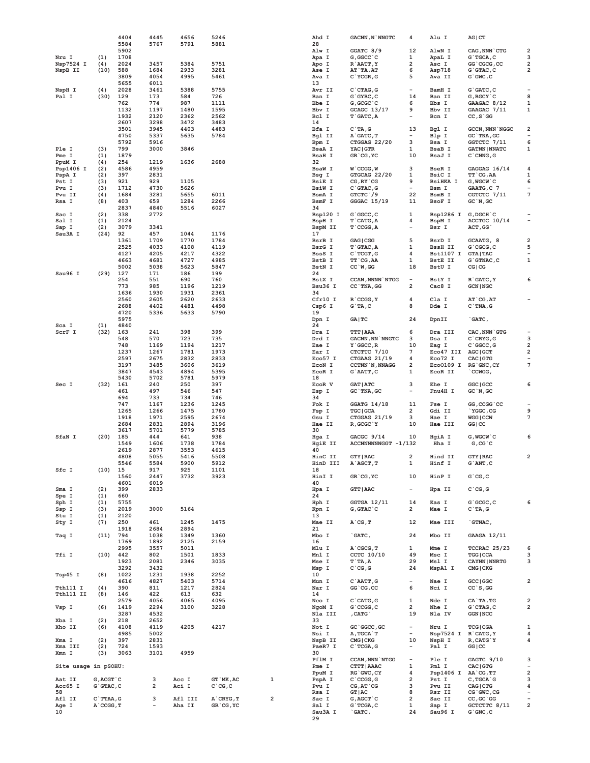|                       |                | 4404         | 4445         | 4656         | 5246         |   | Ahd I                  | <b>GACNN, N`NNGTC</b>                   | 4                                                    | Alu I                              | AG CT                               |                               |
|-----------------------|----------------|--------------|--------------|--------------|--------------|---|------------------------|-----------------------------------------|------------------------------------------------------|------------------------------------|-------------------------------------|-------------------------------|
|                       |                | 5584<br>5902 | 5767         | 5791         | 5881         |   | 28<br>Alw I            | GGATC 8/9                               | 12                                                   | AlwN I                             | CAG, NNN CTG                        | $\overline{\mathbf{2}}$       |
| Nru I                 | (1)            | 1708         |              |              |              |   | Apa I                  | G, GGCC `C                              | 1                                                    | ApaL I                             | $G$ TGCA, $C$                       | 3                             |
| Nsp7524 I             | (4)            | 2024         | 3457         | 5384         | 5751         |   | Apo I                  | R AATT, Y                               | 2                                                    | Asc I                              | GG 'CGCG, CC                        | 2                             |
| NspB II               | (10)           | 588          | 1684         | 2933         | 3281         |   | Ase I                  | AT TA, AT                               | 6                                                    | Asp718                             | $G$ $G$ $G$ $T$ $AC$ $C$            | 2                             |
|                       |                | 3809         | 4054         | 4995         | 5461         |   | Ava I                  | C'YCGR, G                               | 5                                                    | Ava II                             | $G$ $GWC$ , $C$                     |                               |
| NspH I                | (4)            | 5655<br>2028 | 6011<br>3461 | 5388         | 5755         |   | 13<br>Avr II           | $C$ $CTAG$ , $G$                        | $\overline{\phantom{a}}$                             | BamH I                             | $G$ $GATC$ , $C$                    |                               |
| Pal I                 | (30)           | 129          | 173          | 584          | 726          |   | Ban I                  | $G$ $GYRC$ , $C$                        | 14                                                   | Ban II                             | $G, RGCY$ $C$                       | 8                             |
|                       |                | 762          | 774          | 987          | 1111         |   | Bbe I                  | G, GCGC `C                              | 6                                                    | Bbs I                              | GAAGAC 8/12                         | 1                             |
|                       |                | 1132         | 1197         | 1480         | 1595         |   | Bbv I                  | GCAGC 13/17                             | 9                                                    | Bbv II                             | GAAGAC 7/11                         | 1                             |
|                       |                | 1932         | 2120         | 2362         | 2562         |   | Bcl I                  | $T$ $GATC$ , $A$                        | $\overline{\phantom{0}}$                             | Bcn I                              | $CC, S$ GG                          |                               |
|                       |                | 2607         | 3298         | 3472         | 3483         |   | 14                     |                                         |                                                      |                                    |                                     |                               |
|                       |                | 3501<br>4750 | 3945<br>5337 | 4403<br>5635 | 4483<br>5784 |   | Bfa I<br>Bgl II        | $C^T A, G$<br>A GATC, T                 | 13<br>$\overline{\phantom{a}}$                       | Bgl I<br>Blp I                     | <b>GCCN, NNN NGGC</b><br>GC TNA, GC | 2<br>$\overline{\phantom{0}}$ |
|                       |                | 5792         | 5916         |              |              |   | Bpm I                  | CTGGAG 22/20                            | 3                                                    | Bsa I                              | GGTCTC 7/11                         | 6                             |
| Ple I                 | (3)            | 799          | 3000         | 3846         |              |   | BsaA I                 | YAC   GTR                               | 1                                                    | <b>BsaB I</b>                      | <b>GATNN   NNATC</b>                | 1                             |
| Pme I                 | (1)            | 1879         |              |              |              |   | <b>BsaH I</b>          | GR'CG, YC                               | 10                                                   | BsaJ I                             | $C$ $CMNG$ , $G$                    |                               |
| PpuM I                | (4)            | 254          | 1219         | 1636         | 2688         |   | 32                     |                                         |                                                      |                                    |                                     |                               |
| Psp1406 I<br>PspA I   | (2)<br>(2)     | 4586<br>397  | 4959<br>2831 |              |              |   | <b>BsaW I</b><br>Bsg I | $W$ $CCGG, W$<br>GTGCAG 22/20           | 3<br>1                                               | <b>BseR I</b><br>BsiC I            | GAGGAG 16/14<br>TT CG, AA           | 4<br>1                        |
| Pst I                 | (3)            | 921          | 929          | 1105         |              |   | <b>BsiE I</b>          | $CG, RY$ $CG$                           | 9                                                    | <b>BsiHKA I</b>                    | $G$ , W $G$ CW $^{\circ}$ C         | 6                             |
| Pvu I                 | (3)            | 1712         | 4730         | 5626         |              |   | <b>BsiW I</b>          | $C$ $GTAC$ , $G$                        | $\overline{\phantom{a}}$                             | Bsm I                              | GAATG, C 7                          |                               |
| Pvu II                | (4)            | 1684         | 3281         | 5655         | 6011         |   | BsmA I                 | GTCTC / 9                               | 22                                                   | BsmB I                             | CGTCTC 7/11                         | 7                             |
| Rsa I                 | (8)            | 403          | 659          | 1284         | 2266         |   | BsmF I                 | GGGAC 15/19                             | 11                                                   | BsoF I                             | $GC$ $N$ , $GC$                     |                               |
|                       | (2)            | 2837<br>338  | 4840<br>2772 | 5516         | 6027         |   | 34<br>Bsp120 I         | G`GGCC, C                               | 1                                                    |                                    | G, DGCH`C                           |                               |
| Sac I<br>Sal I        | (1)            | 2124         |              |              |              |   | BspH I                 | $T$ $CHTG$ , $A$                        | 4                                                    | Bsp1286 I<br>BspM I                | ACCTGC 10/14                        |                               |
| Sap I                 | (2)            | 3079         | 3341         |              |              |   | BspM II                | $T$ $CCGG, A$                           | $\overline{\phantom{a}}$                             | Bsr I                              | ACT, GG                             |                               |
| Sau3A I               | (24)           | 92           | 457          | 1044         | 1176         |   | 17                     |                                         |                                                      |                                    |                                     |                               |
|                       |                | 1361         | 1709         | 1770         | 1784         |   | BsrB I                 | GAG   CGG                               | 5                                                    | BsrD I                             | GCAATG, 8                           | $\overline{\mathbf{c}}$       |
|                       |                | 2525         | 4033         | 4108         | 4119         |   | BsrG I                 | T GTAC, A                               | 1                                                    | <b>BssH II</b>                     | $G$ $C$ $C$ $C$                     | 5                             |
|                       |                | 4127<br>4663 | 4205<br>4681 | 4217<br>4727 | 4322<br>4985 |   | BssS I<br>BstB I       | $C$ TCGT, G<br>TT CG, AA                | 4<br>1                                               | <b>Bst1107 I</b><br><b>BstE II</b> | <b>GTA   TAC</b><br>G`GTNAC, C      | 1                             |
|                       |                | 5002         | 5038         | 5623         | 5847         |   | BstN I                 | CC'W,GG                                 | 18                                                   | BstU I                             | CG   CG                             |                               |
| Sau96 I               | (29)           | 127          | 171          | 186          | 199          |   | 24                     |                                         |                                                      |                                    |                                     |                               |
|                       |                | 254          | 551          | 690          | 760          |   | BstX I                 | <b>CCAN, NNNN NTGG</b>                  | $\overline{\phantom{a}}$                             | BstY I                             | R GATC, Y                           | 6                             |
|                       |                | 773          | 985          | 1196         | 1219         |   | Bsu36 I                | CC TNA, GG                              | $\overline{\mathbf{2}}$                              | Cac8 I                             | <b>GCN   NGC</b>                    |                               |
|                       |                | 1636         | 1930         | 1931         | 2361         |   | 34                     |                                         |                                                      |                                    |                                     |                               |
|                       |                | 2560<br>2688 | 2605<br>4402 | 2620<br>4481 | 2633<br>4498 |   | Cfr10 I<br>Csp6 I      | R CCGG, Y<br>G'TA,C                     | 4<br>8                                               | Cla I<br>Dde I                     | $AT$ $CG, AT$<br>$C$ TNA, $G$       |                               |
|                       |                | 4720         | 5336         | 5633         | 5790         |   | 19                     |                                         |                                                      |                                    |                                     |                               |
|                       |                | 5975         |              |              |              |   | Dpn I                  | GA   TC                                 | 24                                                   | DpnII                              | `GATC,                              |                               |
| Sca I                 | (1)            | 4840         |              |              |              |   | 24                     |                                         |                                                      |                                    |                                     |                               |
| ScrF I                | (32)           | 163          | 241          | 398          | 399          |   | Dra I                  | <b>TTT   AAA</b>                        | 6                                                    | Dra III                            | CAC, NNN `GTG                       |                               |
|                       |                | 548<br>748   | 570<br>1169  | 723<br>1194  | 735<br>1217  |   | Drd I<br>Eae I         | <b>GACNN, NN NNGTC</b><br>$Y$ $GGCC, R$ | 3<br>10                                              | Dsa I<br>Eag I                     | $C$ $CRYG$ , $G$<br>$C$ $GC$ , $G$  | 3<br>2                        |
|                       |                | 1237         | 1267         | 1781         | 1973         |   | Ear I                  | CTCTTC 7/10                             | 7                                                    | Eco47 III                          | <b>AGC   GCT</b>                    | 2                             |
|                       |                | 2597         | 2675         | 2832         | 2833         |   | Eco57 I                | CTGAAG 21/19                            | 4                                                    | Eco72 I                            | CAC   GTG                           |                               |
|                       |                | 3197         | 3485         | 3606         | 3619         |   | EcoN I                 | <b>CCTNN N, NNAGG</b>                   | $\overline{\mathbf{2}}$                              | Eco0109 I                          | RG GNC, CY                          | 7                             |
|                       |                | 3847         | 4543         | 4894         | 5395         |   | EcoR I                 | G`AATT, C                               | 1                                                    | EcoR II                            | CCWGG,                              |                               |
|                       |                | 5430         | 5702         | 5781         | 5979         |   | 18                     |                                         | 3                                                    |                                    |                                     |                               |
| Sec I                 | (32)           | 161<br>461   | 240<br>497   | 250<br>546   | 397<br>547   |   | EcoR V<br>Esp I        | <b>GAT   ATC</b><br>GC TNA, GC          | $\overline{\phantom{a}}$                             | Ehe I<br>Fnu4H I                   | GGC   GCC<br>GC'N, GC               | 6                             |
|                       |                | 694          | 733          | 734          | 746          |   | 34                     |                                         |                                                      |                                    |                                     |                               |
|                       |                | 747          | 1167         | 1236         | 1245         |   | Fok I                  | $GGATG$ 14/18                           | 11                                                   | Fse I                              | GG, CCGG CC                         |                               |
|                       |                | 1265         | 1266         | 1475         | 1780         |   | Fsp I                  | TGC   GCA                               | 2                                                    | Gdi II                             | YGGC, CG                            | 9                             |
|                       |                | 1918         | 1971         | 2595         | 2674         |   | Gsu I                  | CTGGAG 21/19                            | 3                                                    | Hae I                              | <b>WGG   CCW</b>                    | 7                             |
|                       |                | 2684<br>3617 | 2831<br>5701 | 2894<br>5779 | 3196<br>5785 |   | Hae II<br>30           | R, GCGC `Y                              | 10                                                   | Hae III                            | GG CC                               |                               |
| SfaN I                | $(20)$ 185     |              | 444          | 641          | 938          |   | Hga I                  | GACGC 9/14                              | 10                                                   | HgiA I                             | $G$ , W $G$ CW $^{\circ}$ C         | 6                             |
|                       |                | 1549         | 1606         | 1738         | 1784         |   | HgiE II                | ACCNNNNNNGGT -1/132                     |                                                      | Hha I                              | $G, CG$ $C$                         |                               |
|                       |                | 2619         | 2877         | 3553         | 4615         |   | 40                     |                                         |                                                      |                                    |                                     |                               |
|                       |                | 4808         | 5055         | 5416         | 5508         |   | HinC II                | <b>GTY   RAC</b>                        | $\overline{\mathbf{2}}$                              | Hind II                            | <b>GTY   RAC</b>                    | $\overline{\mathbf{2}}$       |
| Sfc I                 |                | 5546         | 5584         | 5900         | 5912         |   | HinD III               | A AGCT, T                               | 1                                                    | Hinf I                             | G`ANT, C                            |                               |
|                       | (10)           | 15<br>1560   | 917<br>2447  | 925<br>3732  | 1101<br>3923 |   | 18<br>HinI I           | GR'CG, YC                               | 10                                                   | HinP I                             | $G$ $CG$ , $C$                      |                               |
|                       |                | 4601         | 6019         |              |              |   | 40                     |                                         |                                                      |                                    |                                     |                               |
| Sma I                 | (2)            | 399          | 2833         |              |              |   | Hpa I                  | <b>GTT   AAC</b>                        | $\overline{\phantom{a}}$                             | Hpa II                             | $C^{\dagger}CG, G$                  |                               |
| Spe I                 | (1)            | 660          |              |              |              |   | 24                     |                                         |                                                      |                                    |                                     |                               |
| Sph I                 | (1)            | 5755         |              |              |              |   | Hph I                  | GGTGA 12/11                             | 14                                                   | Kas I                              | G`GCGC, C                           | 6                             |
| Ssp I<br>Stu I        | (3)<br>(1)     | 2019<br>2120 | 3000         | 5164         |              |   | Kpn I<br>13            | $G$ , $G$ TAC $C$                       | 2                                                    | Mae I                              | $C^T A, G$                          |                               |
| Sty I                 | (7)            | 250          | 461          | 1245         | 1475         |   | Mae II                 | $A^C$ <sub>T</sub>                      | 12                                                   | Mae III                            | `GTNAC,                             |                               |
|                       |                | 1918         | 2684         | 2894         |              |   | 21                     |                                         |                                                      |                                    |                                     |                               |
| Taq I                 | (11)           | 794          | 1038         | 1349         | 1360         |   | Mbo I                  | `GATC,                                  | 24                                                   | Mbo II                             | GAAGA 12/11                         |                               |
|                       |                | 1769         | 1892         | 2125         | 2159         |   | 16                     |                                         |                                                      |                                    |                                     |                               |
| Tfi I                 | (10)           | 2995<br>442  | 3557<br>802  | 5011<br>1501 | 1833         |   | Mlu I<br>Mnl I         | $A$ $CGCG$ , $T$<br>CCTC 10/10          | 1<br>49                                              | Mme I<br>Msc I                     | TCCRAC 25/23<br><b>TGG   CCA</b>    | 6<br>3                        |
|                       |                | 1923         | 2081         | 2346         | 3035         |   | Mse I                  | $T$ TA, A                               | 29                                                   | Msl I                              | <b>CAYNN   NNRTG</b>                | 3                             |
|                       |                | 3292         | 3432         |              |              |   | Msp I                  | $C^{\dagger}CG, G$                      | 24                                                   | MspA1 I                            | CMG   CKG                           |                               |
| Tsp45 I               | (8)            | 1022         | 1231         | 1938         | 2252         |   | 10                     |                                         |                                                      |                                    |                                     |                               |
|                       |                | 4616         | 4827         | 5403         | 5714         |   | Mun I                  | C`AATT, G                               | $\overline{\phantom{a}}$                             | Nae I                              | GCC   GGC                           | 2                             |
| Tth111 I<br>Tth111 II | (4)<br>(8)     | 390<br>146   | 811<br>422   | 1217<br>613  | 2824<br>632  |   | Nar I<br>14            | GG CG, CC                               | 6                                                    | Nci I                              | $CC$ `S, GG                         |                               |
|                       |                | 2579         | 4056         | 4065         | 4095         |   | Nco I                  | $C$ $CATG$ , $G$                        | 1                                                    | Nde I                              | CA`TA, TG                           | $\overline{\mathbf{2}}$       |
| Vsp I                 | (6)            | 1419         | 2294         | 3100         | 3228         |   | NgoM I                 | G`CCGG, C                               | 2                                                    | Nhe I                              | $G$ $CTAG$ , $C$                    | 2                             |
|                       |                | 3287         | 4532         |              |              |   | Nla III                | , CATG`                                 | 19                                                   | Nla IV                             | <b>GGN   NCC</b>                    |                               |
| Xba I                 | (2)            | 218          | 2652         |              |              |   | 33                     |                                         |                                                      |                                    |                                     |                               |
| Xho II                | (6)            | 4108<br>4985 | 4119<br>5002 | 4205         | 4217         |   | Not I<br>Nsi I         | GC GGCC, GC<br>A, TGCA `T               | $\overline{\phantom{a}}$<br>$\overline{\phantom{a}}$ | Nru I<br>Nsp7524 I R CATG, Y       | <b>TCG   CGA</b>                    | 1<br>4                        |
| Xma I                 | (2)            | 397          | 2831         |              |              |   | NspB II                | CMG   CKG                               | 10                                                   | NspH I                             | R, CATG Y                           | 4                             |
| Xma III               | (2)            | 724          | 1593         |              |              |   | PaeR7 I                | $C$ TCGA, G                             | $\overline{\phantom{a}}$                             | Pal I                              | GG   CC                             |                               |
| Xmn I                 | (3)            | 3063         | 3101         | 4959         |              |   | 30                     |                                         |                                                      |                                    |                                     |                               |
|                       |                |              |              |              |              |   | PflM I                 | <b>CCAN, NNN NTGG</b>                   | $\overline{\phantom{a}}$                             | Ple I                              | GAGTC 9/10                          | 3                             |
| Site usage in pSOHU:  |                |              |              |              |              |   | Pme I<br>PpuM I        | CTTT   AAAC<br>RG GWC, CY               | 1<br>4                                               | Pml I<br>Psp1406 I AA CG, TT       | CAC   GTG                           | $\mathbf 2$                   |
| Aat II                | G, ACGT `C     |              | 3            | Acc I        | GT `MK, AC   | 1 | PspA I                 | $C$ $CCGG, G$                           | 2                                                    | Pst I                              | $C$ , $TGCA$ $G$                    | 3                             |
| Acc65 I               | $G$ $G$ TAC, C |              | 2            | Aci I        | $C$ $CG, C$  |   | Pvu I                  | $CG, AT$ $CG$                           | 3                                                    | Pvu II                             | CAG   CTG                           | 4                             |
| 58                    |                |              |              |              |              |   | Rsa I                  | GT   AC                                 | 8                                                    | Rsr II                             | CG GWC, CG                          |                               |
| Afl II                | $C$ TTAA, $G$  |              | з            | Afl III      | A CRYG, T    | 2 | Sac I                  | G, AGCT `C                              | 2                                                    | Sac II                             | $CC, GC$ $GG$                       |                               |
| Age I<br>10           | A`CCGG, T      |              |              | Aha II       | GR CG, YC    |   | Sal I<br>Sau3A I       | $G$ TCGA, $C$<br>`GATC,                 | 1<br>24                                              | Sap I<br>Sau96 I                   | GCTCTTC 8/11<br>$G$ $GNC$ , $C$     | 2                             |
|                       |                |              |              |              |              |   | 29                     |                                         |                                                      |                                    |                                     |                               |
|                       |                |              |              |              |              |   |                        |                                         |                                                      |                                    |                                     |                               |